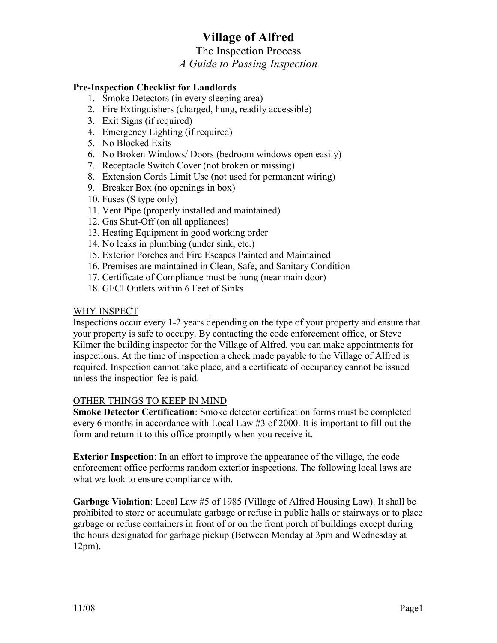# **Village of Alfred**

### The Inspection Process

### *A Guide to Passing Inspection*

#### **Pre-Inspection Checklist for Landlords**

- 1. Smoke Detectors (in every sleeping area)
- 2. Fire Extinguishers (charged, hung, readily accessible)
- 3. Exit Signs (if required)
- 4. Emergency Lighting (if required)
- 5. No Blocked Exits
- 6. No Broken Windows/ Doors (bedroom windows open easily)
- 7. Receptacle Switch Cover (not broken or missing)
- 8. Extension Cords Limit Use (not used for permanent wiring)
- 9. Breaker Box (no openings in box)
- 10. Fuses (S type only)
- 11. Vent Pipe (properly installed and maintained)
- 12. Gas Shut-Off (on all appliances)
- 13. Heating Equipment in good working order
- 14. No leaks in plumbing (under sink, etc.)
- 15. Exterior Porches and Fire Escapes Painted and Maintained
- 16. Premises are maintained in Clean, Safe, and Sanitary Condition
- 17. Certificate of Compliance must be hung (near main door)
- 18. GFCI Outlets within 6 Feet of Sinks

#### WHY INSPECT

Inspections occur every 1-2 years depending on the type of your property and ensure that your property is safe to occupy. By contacting the code enforcement office, or Steve Kilmer the building inspector for the Village of Alfred, you can make appointments for inspections. At the time of inspection a check made payable to the Village of Alfred is required. Inspection cannot take place, and a certificate of occupancy cannot be issued unless the inspection fee is paid.

#### OTHER THINGS TO KEEP IN MIND

**Smoke Detector Certification**: Smoke detector certification forms must be completed every 6 months in accordance with Local Law #3 of 2000. It is important to fill out the form and return it to this office promptly when you receive it.

**Exterior Inspection**: In an effort to improve the appearance of the village, the code enforcement office performs random exterior inspections. The following local laws are what we look to ensure compliance with.

**Garbage Violation**: Local Law #5 of 1985 (Village of Alfred Housing Law). It shall be prohibited to store or accumulate garbage or refuse in public halls or stairways or to place garbage or refuse containers in front of or on the front porch of buildings except during the hours designated for garbage pickup (Between Monday at 3pm and Wednesday at 12pm).